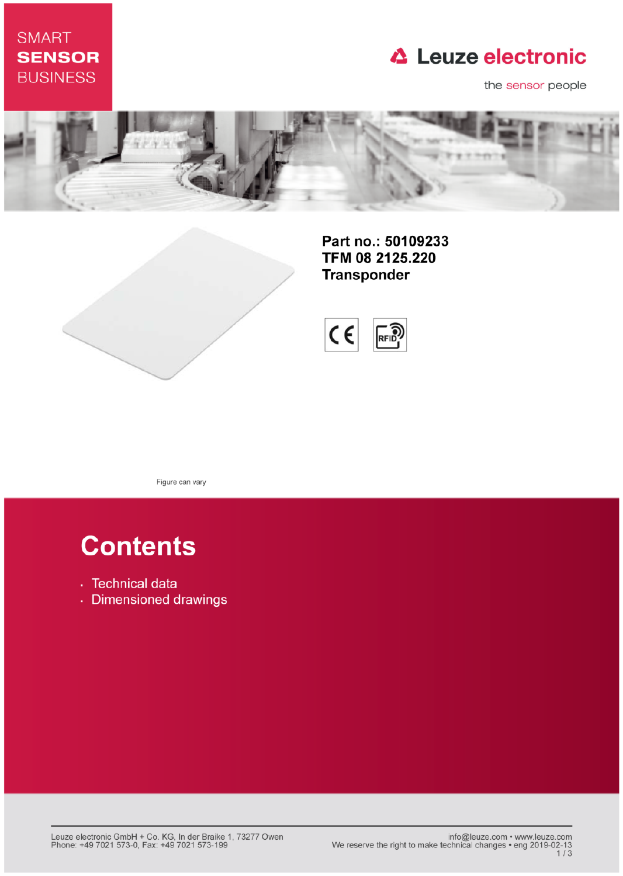## **SMART SENSOR BUSINESS**

# **△ Leuze electronic**

the sensor people





Part no.: 50109233 TFM 08 2125.220 **Transponder** 



Figure can vary

# **Contents**

- · Technical data
- · Dimensioned drawings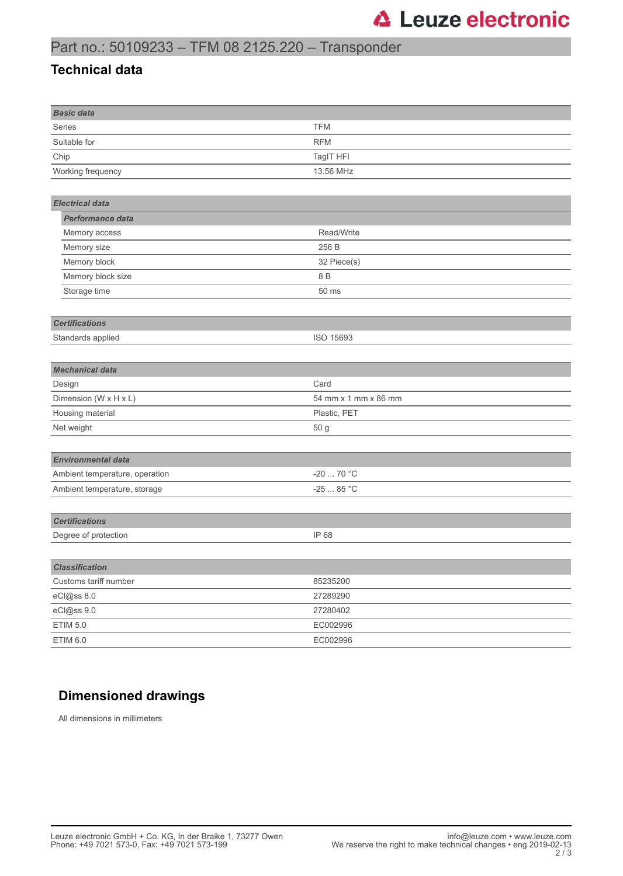### Part no.: 50109233 – TFM 08 2125.220 – Transponder

#### **Technical data**

| <b>Basic data</b>              |                      |
|--------------------------------|----------------------|
| Series                         | <b>TFM</b>           |
| Suitable for                   | <b>RFM</b>           |
| Chip                           | TagIT HFI            |
| Working frequency              | 13.56 MHz            |
|                                |                      |
| <b>Electrical data</b>         |                      |
| Performance data               |                      |
| Memory access                  | Read/Write           |
| Memory size                    | 256 B                |
| Memory block                   | 32 Piece(s)          |
| Memory block size              | 8 B                  |
| Storage time                   | 50 ms                |
|                                |                      |
| <b>Certifications</b>          |                      |
| Standards applied              | ISO 15693            |
|                                |                      |
| <b>Mechanical data</b>         |                      |
| Design                         | Card                 |
| Dimension (W x H x L)          | 54 mm x 1 mm x 86 mm |
| Housing material               | Plastic, PET         |
| Net weight                     | 50 g                 |
|                                |                      |
| <b>Environmental data</b>      |                      |
| Ambient temperature, operation | $-20$ 70 °C          |
| Ambient temperature, storage   | -25 $\dots$ 85 °C    |
|                                |                      |
| <b>Certifications</b>          |                      |
| Degree of protection           | IP 68                |
|                                |                      |
| <b>Classification</b>          |                      |
| Customs tariff number          | 85235200             |
| eCl@ss 8.0                     | 27289290             |
| eCl@ss 9.0                     | 27280402             |
| <b>ETIM 5.0</b>                | EC002996             |
| <b>ETIM 6.0</b>                | EC002996             |

### **Dimensioned drawings**

All dimensions in millimeters